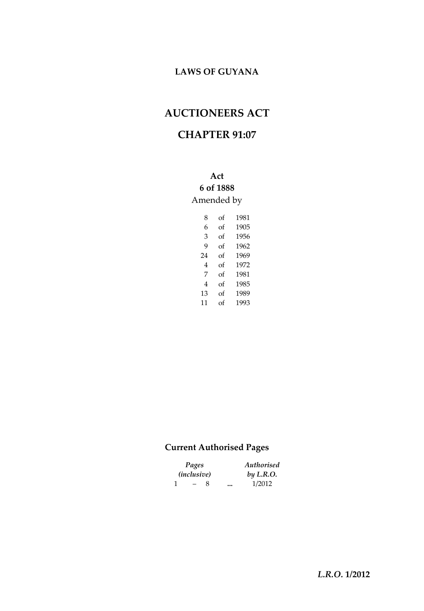# **LAWS OF GUYANA**

# **AUCTIONEERS ACT**

## **CHAPTER 91:07**

**Act 6 of 1888** Amended by

| 8  | of | 1981 |
|----|----|------|
| 6  | of | 1905 |
| 3  | of | 1956 |
| q  | of | 1962 |
| 24 | of | 1969 |
| 4  | of | 1972 |
| 7  | of | 1981 |
| 4  | of | 1985 |
| 13 | of | 1989 |
| 11 | of | 1993 |

### **Current Authorised Pages**

| Pages |                          |   | Authorised |  |  |
|-------|--------------------------|---|------------|--|--|
|       | <i>(inclusive)</i>       |   | by L.R.O.  |  |  |
| -1    | $\overline{\phantom{0}}$ | x | <br>1/2012 |  |  |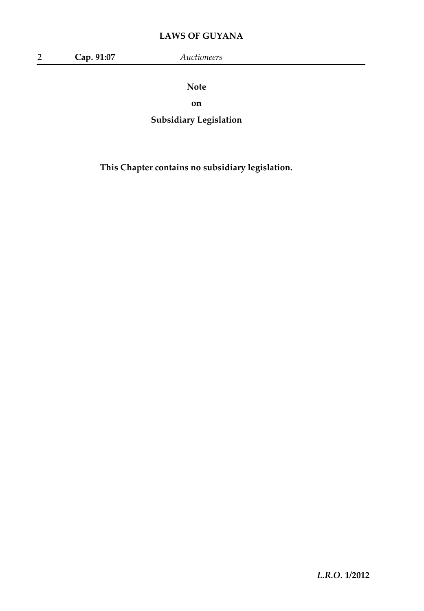# **LAWS OF GUYANA**

|  | Cap. 91:07 | Auctioneers |
|--|------------|-------------|
|--|------------|-------------|

**Note**

**on**

**Subsidiary Legislation**

**This Chapter contains no subsidiary legislation.**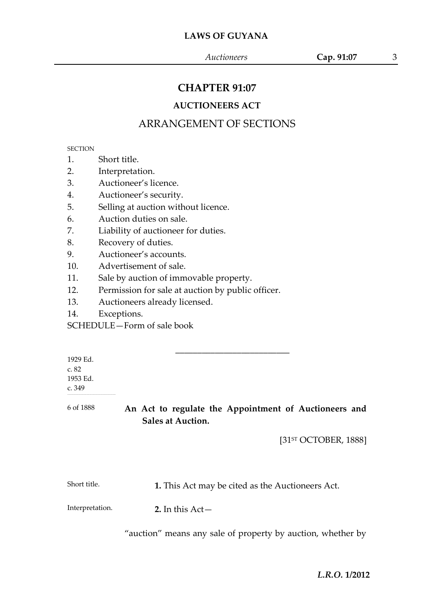## **CHAPTER 91:07**

### **AUCTIONEERS ACT**

# ARRANGEMENT OF SECTIONS

#### **SECTION**

1. Short title.

2. Interpretation.

3. Auctioneer's licence.

4. Auctioneer's security.

5. Selling at auction without licence.

6. Auction duties on sale.

7. Liability of auctioneer for duties.

8. Recovery of duties.

9. Auctioneer's accounts.

10. Advertisement of sale.

11. Sale by auction of immovable property.

12. Permission for sale at auction by public officer.

13. Auctioneers already licensed.

14. Exceptions.

SCHEDULE—Form of sale book

| 1929 Ed.  |                                                       |
|-----------|-------------------------------------------------------|
| c.82      |                                                       |
| 1953 Ed.  |                                                       |
| c.349     |                                                       |
| 6 of 1888 | An Act to regulate the Appointment of Auctioneers and |
|           |                                                       |

**Sales at Auction.**

[31<sup>st</sup> OCTOBER, 1888]

Short title. **1.** This Act may be cited as the Auctioneers Act.

Interpretation.

**2.** In this Act—

"auction" means any sale of property by auction, whether by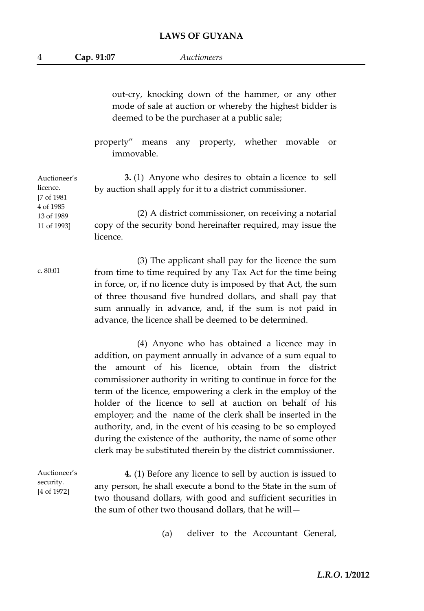4 **Cap. 91:07** *Auctioneers*

out-cry, knocking down of the hammer, or any other mode of sale at auction or whereby the highest bidder is deemed to be the purchaser at a public sale;

property" means any property, whether movable or immovable.

Auctioneer's licence. [7 of 1981 4 of 1985 13 of 1989 11 of 1993] **3.** (1) Anyone who desires to obtain a licence to sell by auction shall apply for it to a district commissioner. (2) A district commissioner, on receiving a notarial copy of the security bond hereinafter required, may issue the licence.

c. 80:01 (3) The applicant shall pay for the licence the sum from time to time required by any Tax Act for the time being in force, or, if no licence duty is imposed by that Act, the sum of three thousand five hundred dollars, and shall pay that sum annually in advance, and, if the sum is not paid in advance, the licence shall be deemed to be determined.

> (4) Anyone who has obtained a licence may in addition, on payment annually in advance of a sum equal to the amount of his licence, obtain from the district commissioner authority in writing to continue in force for the term of the licence, empowering a clerk in the employ of the holder of the licence to sell at auction on behalf of his employer; and the name of the clerk shall be inserted in the authority, and, in the event of his ceasing to be so employed during the existence of the authority, the name of some other clerk may be substituted therein by the district commissioner.

Auctioneer's security. [4 of 1972] **4.** (1) Before any licence to sell by auction is issued to any person, he shall execute a bond to the State in the sum of two thousand dollars, with good and sufficient securities in the sum of other two thousand dollars, that he will—

(a) deliver to the Accountant General,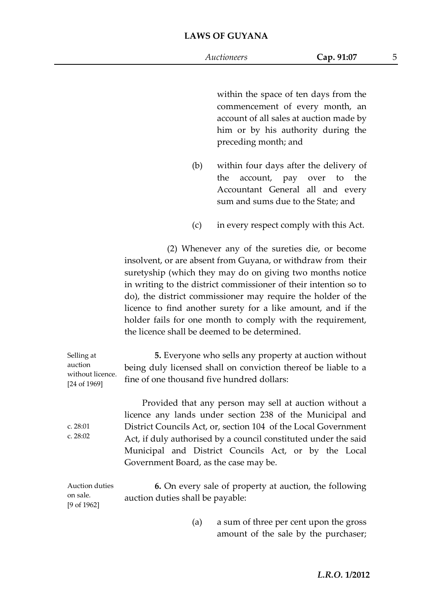within the space of ten days from the commencement of every month, an account of all sales at auction made by him or by his authority during the preceding month; and

- (b) within four days after the delivery of the account, pay over to the Accountant General all and every sum and sums due to the State; and
- (c) in every respect comply with this Act.

(2) Whenever any of the sureties die, or become insolvent, or are absent from Guyana, or withdraw from their suretyship (which they may do on giving two months notice in writing to the district commissioner of their intention so to do), the district commissioner may require the holder of the licence to find another surety for a like amount, and if the holder fails for one month to comply with the requirement, the licence shall be deemed to be determined.

| Selling at<br>auction<br>without licence.<br>[24 of 1969] | 5. Everyone who sells any property at auction without<br>being duly licensed shall on conviction thereof be liable to a<br>fine of one thousand five hundred dollars:                                                                                                                                                                                    |
|-----------------------------------------------------------|----------------------------------------------------------------------------------------------------------------------------------------------------------------------------------------------------------------------------------------------------------------------------------------------------------------------------------------------------------|
| c. $28:01$<br>c. $28:02$                                  | Provided that any person may sell at auction without a<br>licence any lands under section 238 of the Municipal and<br>District Councils Act, or, section 104 of the Local Government<br>Act, if duly authorised by a council constituted under the said<br>Municipal and District Councils Act, or by the Local<br>Government Board, as the case may be. |
| Auction duties<br>on sale.<br>$[9 \text{ of } 1962]$      | 6. On every sale of property at auction, the following<br>auction duties shall be payable:                                                                                                                                                                                                                                                               |
|                                                           | a sum of three per cent upon the gross<br>(a)                                                                                                                                                                                                                                                                                                            |

amount of the sale by the purchaser;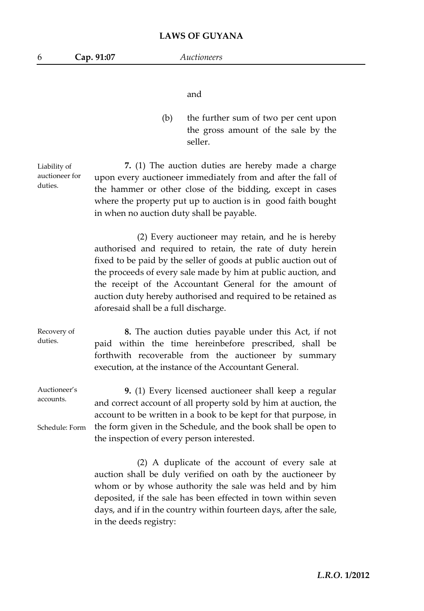and

(b) the further sum of two per cent upon the gross amount of the sale by the seller.

Liability of auctioneer for duties. **7.** (1) The auction duties are hereby made a charge upon every auctioneer immediately from and after the fall of the hammer or other close of the bidding, except in cases where the property put up to auction is in good faith bought in when no auction duty shall be payable.

> (2) Every auctioneer may retain, and he is hereby authorised and required to retain, the rate of duty herein fixed to be paid by the seller of goods at public auction out of the proceeds of every sale made by him at public auction, and the receipt of the Accountant General for the amount of auction duty hereby authorised and required to be retained as aforesaid shall be a full discharge.

Recovery of duties. **8.** The auction duties payable under this Act, if not paid within the time hereinbefore prescribed, shall be forthwith recoverable from the auctioneer by summary execution, at the instance of the Accountant General.

Auctioneer's accounts. Schedule: Form **9.** (1) Every licensed auctioneer shall keep a regular and correct account of all property sold by him at auction, the account to be written in a book to be kept for that purpose, in the form given in the Schedule, and the book shall be open to the inspection of every person interested.

> (2) A duplicate of the account of every sale at auction shall be duly verified on oath by the auctioneer by whom or by whose authority the sale was held and by him deposited, if the sale has been effected in town within seven days, and if in the country within fourteen days, after the sale, in the deeds registry: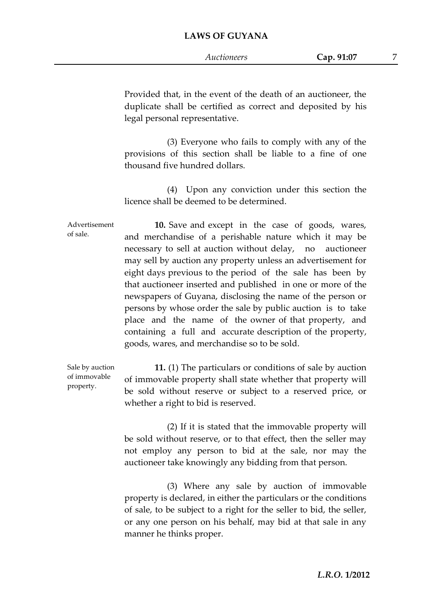#### **LAWS OF GUYANA**

Provided that, in the event of the death of an auctioneer, the duplicate shall be certified as correct and deposited by his legal personal representative.

(3) Everyone who fails to comply with any of the provisions of this section shall be liable to a fine of one thousand five hundred dollars.

(4) Upon any conviction under this section the licence shall be deemed to be determined.

Advertisement of sale. **10.** Save and except in the case of goods, wares, and merchandise of a perishable nature which it may be necessary to sell at auction without delay, no auctioneer may sell by auction any property unless an advertisement for eight days previous to the period of the sale has been by that auctioneer inserted and published in one or more of the newspapers of Guyana, disclosing the name of the person or persons by whose order the sale by public auction is to take place and the name of the owner of that property, and containing a full and accurate description of the property, goods, wares, and merchandise so to be sold.

Sale by auction of immovable property. **11.** (1) The particulars or conditions of sale by auction of immovable property shall state whether that property will be sold without reserve or subject to a reserved price, or whether a right to bid is reserved.

> (2) If it is stated that the immovable property will be sold without reserve, or to that effect, then the seller may not employ any person to bid at the sale, nor may the auctioneer take knowingly any bidding from that person.

> (3) Where any sale by auction of immovable property is declared, in either the particulars or the conditions of sale, to be subject to a right for the seller to bid, the seller, or any one person on his behalf, may bid at that sale in any manner he thinks proper.